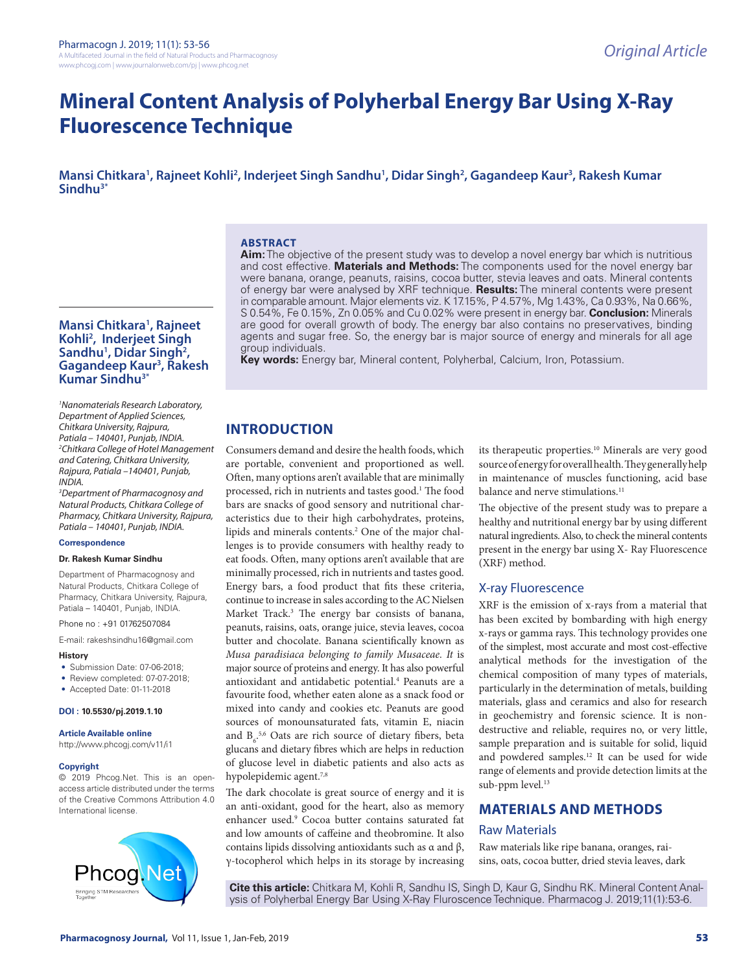# **Mineral Content Analysis of Polyherbal Energy Bar Using X-Ray Fluorescence Technique**

**Mansi Chitkara1 , Rajneet Kohli2 , Inderjeet Singh Sandhu1 , Didar Singh2 , Gagandeep Kaur3 , Rakesh Kumar Sindhu3\***

#### **ABSTRACT**

**Aim:** The objective of the present study was to develop a novel energy bar which is nutritious and cost effective. **Materials and Methods:** The components used for the novel energy bar were banana, orange, peanuts, raisins, cocoa butter, stevia leaves and oats. Mineral contents of energy bar were analysed by XRF technique. **Results:** The mineral contents were present in comparable amount. Major elements viz. K 17.15%, P 4.57%, Mg 1.43%, Ca 0.93%, Na 0.66%, S 0.54%, Fe 0.15%, Zn 0.05% and Cu 0.02% were present in energy bar. **Conclusion:** Minerals are good for overall growth of body. The energy bar also contains no preservatives, binding agents and sugar free. So, the energy bar is major source of energy and minerals for all age group individuals.

**Key words:** Energy bar, Mineral content, Polyherbal, Calcium, Iron, Potassium.

# **INTRODUCTION**

Consumers demand and desire the health foods, which are portable, convenient and proportioned as well. Often, many options aren't available that are minimally processed, rich in nutrients and tastes good.<sup>1</sup> The food bars are snacks of good sensory and nutritional characteristics due to their high carbohydrates, proteins, lipids and minerals contents.<sup>2</sup> One of the major challenges is to provide consumers with healthy ready to eat foods. Often, many options aren't available that are minimally processed, rich in nutrients and tastes good. Energy bars, a food product that fits these criteria, continue to increase in sales according to the AC Nielsen Market Track.<sup>3</sup> The energy bar consists of banana, peanuts, raisins, oats, orange juice, stevia leaves, cocoa butter and chocolate. Banana scientifically known as *Musa paradisiaca belonging to family Musaceae. It* is major source of proteins and energy. It has also powerful antioxidant and antidabetic potential.<sup>4</sup> Peanuts are a favourite food, whether eaten alone as a snack food or mixed into candy and cookies etc. Peanuts are good sources of monounsaturated fats, vitamin E, niacin and  $B_6$ <sup>5,6</sup> Oats are rich source of dietary fibers, beta glucans and dietary fibres which are helps in reduction of glucose level in diabetic patients and also acts as hypolepidemic agent.<sup>7,8</sup>

The dark chocolate is great source of energy and it is an anti-oxidant, good for the heart, also as memory enhancer used.9 Cocoa butter contains saturated fat and low amounts of caffeine and theobromine. It also contains lipids dissolving antioxidants such as α and β, γ-tocopherol which helps in its storage by increasing

its therapeutic properties.10 Minerals are very good source of energy for overall health. They generally help in maintenance of muscles functioning, acid base balance and nerve stimulations.<sup>11</sup>

The objective of the present study was to prepare a healthy and nutritional energy bar by using different natural ingredients. Also, to check the mineral contents present in the energy bar using X- Ray Fluorescence (XRF) method.

#### X-ray Fluorescence

XRF is the emission of x-rays from a material that has been excited by bombarding with high energy x-rays or gamma rays. This technology provides one of the simplest, most accurate and most cost-effective analytical methods for the investigation of the chemical composition of many types of materials, particularly in the determination of metals, building materials, glass and ceramics and also for research in geochemistry and forensic science. It is nondestructive and reliable, requires no, or very little, sample preparation and is suitable for solid, liquid and powdered samples.<sup>12</sup> It can be used for wide range of elements and provide detection limits at the sub-ppm level.<sup>13</sup>

# **MATERIALS AND METHODS**

#### Raw Materials

Raw materials like ripe banana, oranges, raisins, oats, cocoa butter, dried stevia leaves, dark

**Cite this article:** Chitkara M, Kohli R, Sandhu IS, Singh D, Kaur G, Sindhu RK. Mineral Content Analysis of Polyherbal Energy Bar Using X-Ray Fluroscence Technique. Pharmacog J. 2019;11(1):53-6.

#### **Mansi Chitkara1 , Rajneet Kohli2 , Inderjeet Singh**  Sandhu<sup>1</sup>, Didar Singh<sup>2</sup>, **Gagandeep Kaur3 , Rakesh Kumar Sindhu3\***

*1 Nanomaterials Research Laboratory, Department of Applied Sciences, Chitkara University, Rajpura, Patiala – 140401, Punjab, INDIA. 2 Chitkara College of Hotel Management and Catering, Chitkara University, Rajpura, Patiala –140401, Punjab, INDIA.*

*3 Department of Pharmacognosy and Natural Products, Chitkara College of Pharmacy, Chitkara University, Rajpura, Patiala – 140401, Punjab, INDIA.*

#### **Correspondence**

#### **Dr. Rakesh Kumar Sindhu**

Department of Pharmacognosy and Natural Products, Chitkara College of Pharmacy, Chitkara University, Rajpura, Patiala – 140401, Punjab, INDIA.

Phone no : +91 01762507084

E-mail: rakeshsindhu16@gmail.com

#### **History**

- Submission Date: 07-06-2018;
- Review completed: 07-07-2018;
- Accepted Date: 01-11-2018

#### **DOI : 10.5530/pj.2019.1.10**

**Article Available online** 

#### http://www.phcogj.com/v11/i1

#### **Copyright**

© 2019 Phcog.Net. This is an openaccess article distributed under the terms of the Creative Commons Attribution 4.0 International license.

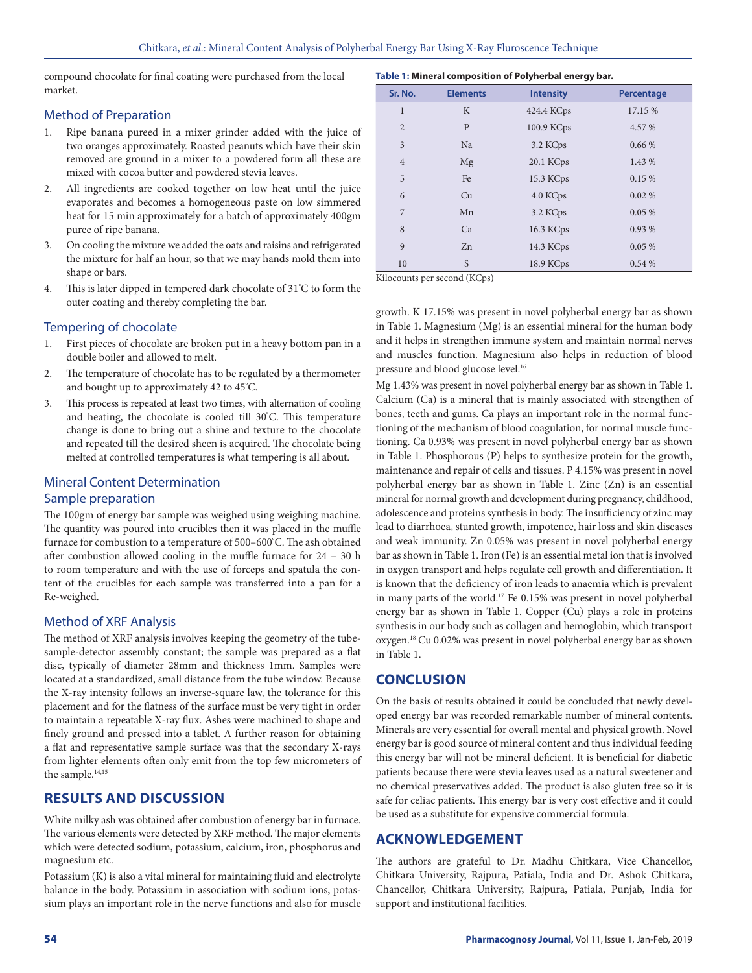compound chocolate for final coating were purchased from the local market.

### Method of Preparation

- 1. Ripe banana pureed in a mixer grinder added with the juice of two oranges approximately. Roasted peanuts which have their skin removed are ground in a mixer to a powdered form all these are mixed with cocoa butter and powdered stevia leaves.
- 2. All ingredients are cooked together on low heat until the juice evaporates and becomes a homogeneous paste on low simmered heat for 15 min approximately for a batch of approximately 400gm puree of ripe banana.
- 3. On cooling the mixture we added the oats and raisins and refrigerated the mixture for half an hour, so that we may hands mold them into shape or bars.
- 4. This is later dipped in tempered dark chocolate of 31º C to form the outer coating and thereby completing the bar.

### Tempering of chocolate

- 1. First pieces of chocolate are broken put in a heavy bottom pan in a double boiler and allowed to melt.
- 2. The temperature of chocolate has to be regulated by a thermometer and bought up to approximately 42 to 45º C.
- 3. This process is repeated at least two times, with alternation of cooling and heating, the chocolate is cooled till 30º C. This temperature change is done to bring out a shine and texture to the chocolate and repeated till the desired sheen is acquired. The chocolate being melted at controlled temperatures is what tempering is all about.

### Mineral Content Determination

#### Sample preparation

The 100gm of energy bar sample was weighed using weighing machine. The quantity was poured into crucibles then it was placed in the muffle furnace for combustion to a temperature of 500–600º C. The ash obtained after combustion allowed cooling in the muffle furnace for 24 – 30 h to room temperature and with the use of forceps and spatula the content of the crucibles for each sample was transferred into a pan for a Re-weighed.

### Method of XRF Analysis

The method of XRF analysis involves keeping the geometry of the tubesample-detector assembly constant; the sample was prepared as a flat disc, typically of diameter 28mm and thickness 1mm. Samples were located at a standardized, small distance from the tube window. Because the X-ray intensity follows an inverse-square law, the tolerance for this placement and for the flatness of the surface must be very tight in order to maintain a repeatable X-ray flux. Ashes were machined to shape and finely ground and pressed into a tablet. A further reason for obtaining a flat and representative sample surface was that the secondary X-rays from lighter elements often only emit from the top few micrometers of the sample.<sup>14,15</sup>

# **RESULTS AND DISCUSSION**

White milky ash was obtained after combustion of energy bar in furnace. The various elements were detected by XRF method. The major elements which were detected sodium, potassium, calcium, iron, phosphorus and magnesium etc.

Potassium (K) is also a vital mineral for maintaining fluid and electrolyte balance in the body. Potassium in association with sodium ions, potassium plays an important role in the nerve functions and also for muscle

| Sr. No.        | <b>Elements</b> | <b>Intensity</b> | Percentage |  |
|----------------|-----------------|------------------|------------|--|
| 1              | K               | 424.4 KCps       | 17.15 %    |  |
| $\overline{2}$ | P               | 100.9 KCps       | 4.57 %     |  |
| 3              | Na              | 3.2 KCps         | 0.66%      |  |
| $\overline{4}$ | Mg              | 20.1 KCps        | 1.43 %     |  |
| 5              | Fe              | 15.3 KCps        | 0.15 %     |  |
| 6              | Cu              | 4.0 KCps         | 0.02%      |  |
| 7              | Mn              | 3.2 KCps         | 0.05%      |  |
| 8              | Ca              | 16.3 KCps        | 0.93 %     |  |
| 9              | Zn              | 14.3 KCps        | 0.05%      |  |
| 10             | S               | 18.9 KCps        | 0.54 %     |  |
|                |                 |                  |            |  |

Kilocounts per second (KCps)

growth. K 17.15% was present in novel polyherbal energy bar as shown in Table 1. Magnesium (Mg) is an essential mineral for the human body and it helps in strengthen immune system and maintain normal nerves and muscles function. Magnesium also helps in reduction of blood pressure and blood glucose level.<sup>16</sup>

Mg 1.43% was present in novel polyherbal energy bar as shown in Table 1. Calcium (Ca) is a mineral that is mainly associated with strengthen of bones, teeth and gums. Ca plays an important role in the normal functioning of the mechanism of blood coagulation, for normal muscle functioning. Ca 0.93% was present in novel polyherbal energy bar as shown in Table 1. Phosphorous (P) helps to synthesize protein for the growth, maintenance and repair of cells and tissues. P 4.15% was present in novel polyherbal energy bar as shown in Table 1. Zinc (Zn) is an essential mineral for normal growth and development during pregnancy, childhood, adolescence and proteins synthesis in body. The insufficiency of zinc may lead to diarrhoea, stunted growth, impotence, hair loss and skin diseases and weak immunity. Zn 0.05% was present in novel polyherbal energy bar as shown in Table 1. Iron (Fe) is an essential metal ion that is involved in oxygen transport and helps regulate cell growth and differentiation. It is known that the deficiency of iron leads to anaemia which is prevalent in many parts of the world.<sup>17</sup> Fe 0.15% was present in novel polyherbal energy bar as shown in Table 1. Copper (Cu) plays a role in proteins synthesis in our body such as collagen and hemoglobin, which transport oxygen.18 Cu 0.02% was present in novel polyherbal energy bar as shown in Table 1.

# **CONCLUSION**

On the basis of results obtained it could be concluded that newly developed energy bar was recorded remarkable number of mineral contents. Minerals are very essential for overall mental and physical growth. Novel energy bar is good source of mineral content and thus individual feeding this energy bar will not be mineral deficient. It is beneficial for diabetic patients because there were stevia leaves used as a natural sweetener and no chemical preservatives added. The product is also gluten free so it is safe for celiac patients. This energy bar is very cost effective and it could be used as a substitute for expensive commercial formula.

# **ACKNOWLEDGEMENT**

The authors are grateful to Dr. Madhu Chitkara, Vice Chancellor, Chitkara University, Rajpura, Patiala, India and Dr. Ashok Chitkara, Chancellor, Chitkara University, Rajpura, Patiala, Punjab, India for support and institutional facilities.

# **Table 1: Mineral composition of Polyherbal energy bar.**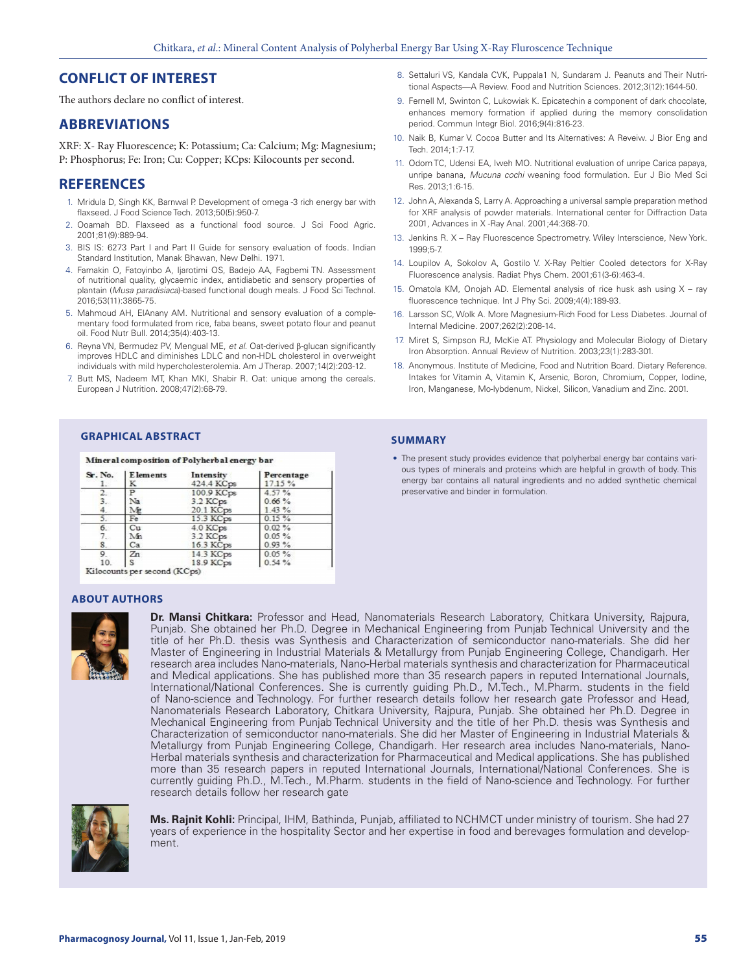# **CONFLICT OF INTEREST**

The authors declare no conflict of interest.

# **ABBREVIATIONS**

XRF: X- Ray Fluorescence; K: Potassium; Ca: Calcium; Mg: Magnesium; P: Phosphorus; Fe: Iron; Cu: Copper; KCps: Kilocounts per second.

# **REFERENCES**

- 1. Mridula D, Singh KK, Barnwal P. Development of omega -3 rich energy bar with flaxseed. J Food Science Tech. 2013;50(5):950-7.
- 2. Ooamah BD. Flaxseed as a functional food source. J Sci Food Agric. 2001;81(9):889-94.
- 3. BIS IS: 6273 Part I and Part II Guide for sensory evaluation of foods. Indian Standard Institution, Manak Bhawan, New Delhi. 1971.
- 4. Famakin O, Fatoyinbo A, Ijarotimi OS, Badejo AA, Fagbemi TN. Assessment of nutritional quality, glycaemic index, antidiabetic and sensory properties of plantain (*Musa paradisiaca*)-based functional dough meals. J Food Sci Technol. 2016;53(11):3865-75.
- 5. Mahmoud AH, ElAnany AM. Nutritional and sensory evaluation of a complementary food formulated from rice, faba beans, sweet potato flour and peanut oil. Food Nutr Bull. 2014;35(4):403-13.
- 6. Reyna VN, Bermudez PV, Mengual ME, *et al.* Oat-derived β-glucan significantly improves HDLC and diminishes LDLC and non-HDL cholesterol in overweight individuals with mild hypercholesterolemia. Am J Therap. 2007;14(2):203-12.
- 7. Butt MS, Nadeem MT, Khan MKI, Shabir R. Oat: unique among the cereals. European J Nutrition. 2008;47(2):68-79.
	- **GRAPHICAL ABSTRACT SUMMARY**

#### Mineral composition of Polyherbal energy bar

| Sr. No.<br>1. | <b>E</b> lements<br>K | Intensity<br>424.4 KCps | Percentage<br>17.15% |
|---------------|-----------------------|-------------------------|----------------------|
| 2.            | P                     | 100.9 KCps              | 4.57%                |
| 3.            | Na                    | $3.2$ KCps              | 0.66%                |
| 4.            | Mg                    | 20.1 KCps               | 1.43%                |
|               | Fe                    | 15.3 KCps               | 0.15%                |
| 6.            | Cu                    | 4.0 KCps                | $0.02\%$             |
| 7.            | Mn                    | 3.2 KCps                | $0.05 \%$            |
| 8.            | Ca                    | 16.3 KCps               | 0.93%                |
| 9. .          | Zn                    | 14.3 KCps               | 0.05%                |
| 10.           |                       | 18.9 KCps               | 0.54%                |

Kilocounts per second (KCps)

#### **ABOUT AUTHORS**



**Dr. Mansi Chitkara:** Professor and Head, Nanomaterials Research Laboratory, Chitkara University, Rajpura, Punjab. She obtained her Ph.D. Degree in Mechanical Engineering from Punjab Technical University and the title of her Ph.D. thesis was Synthesis and Characterization of semiconductor nano-materials. She did her Master of Engineering in Industrial Materials & Metallurgy from Punjab Engineering College, Chandigarh. Her research area includes Nano-materials, Nano-Herbal materials synthesis and characterization for Pharmaceutical and Medical applications. She has published more than 35 research papers in reputed International Journals, International/National Conferences. She is currently guiding Ph.D., M.Tech., M.Pharm. students in the field of Nano-science and Technology. For further research details follow her research gate Professor and Head, Nanomaterials Research Laboratory, Chitkara University, Rajpura, Punjab. She obtained her Ph.D. Degree in Mechanical Engineering from Punjab Technical University and the title of her Ph.D. thesis was Synthesis and Characterization of semiconductor nano-materials. She did her Master of Engineering in Industrial Materials & Metallurgy from Punjab Engineering College, Chandigarh. Her research area includes Nano-materials, Nano-Herbal materials synthesis and characterization for Pharmaceutical and Medical applications. She has published more than 35 research papers in reputed International Journals, International/National Conferences. She is currently guiding Ph.D., M.Tech., M.Pharm. students in the field of Nano-science and Technology. For further research details follow her research gate



**Ms. Rajnit Kohli:** Principal, IHM, Bathinda, Punjab, affiliated to NCHMCT under ministry of tourism. She had 27 years of experience in the hospitality Sector and her expertise in food and berevages formulation and development.

- 8. Settaluri VS, Kandala CVK, Puppala1 N, Sundaram J. Peanuts and Their Nutritional Aspects—A Review. Food and Nutrition Sciences. 2012;3(12):1644-50.
- 9. Fernell M, Swinton C, Lukowiak K. Epicatechin a component of dark chocolate, enhances memory formation if applied during the memory consolidation period. Commun Integr Biol. 2016;9(4):816-23.
- 10. Naik B, Kumar V. Cocoa Butter and Its Alternatives: A Reveiw. J Bior Eng and Tech. 2014;1:7-17.
- 11. Odom TC, Udensi EA, Iweh MO. Nutritional evaluation of unripe Carica papaya, unripe banana, *Mucuna cochi* weaning food formulation. Eur J Bio Med Sci Res. 2013;1:6-15.
- 12. John A, Alexanda S, Larry A. Approaching a universal sample preparation method for XRF analysis of powder materials. International center for Diffraction Data 2001, Advances in X -Ray Anal. 2001;44:368-70.
- 13. Jenkins R. X Ray Fluorescence Spectrometry. Wiley Interscience, New York. 1999;5-7.
- 14. Loupilov A, Sokolov A, Gostilo V. X-Ray Peltier Cooled detectors for X-Ray Fluorescence analysis. Radiat Phys Chem. 2001;61(3-6):463-4.
- 15. Omatola KM, Onojah AD. Elemental analysis of rice husk ash using X ray fluorescence technique. Int J Phy Sci. 2009;4(4):189-93.
- 16. Larsson SC, Wolk A. More Magnesium-Rich Food for Less Diabetes. Journal of Internal Medicine. 2007;262(2):208-14.
- 17. Miret S, Simpson RJ, McKie AT. Physiology and Molecular Biology of Dietary Iron Absorption. Annual Review of Nutrition. 2003;23(1):283-301.
- 18. Anonymous. Institute of Medicine, Food and Nutrition Board. Dietary Reference. Intakes for Vitamin A, Vitamin K, Arsenic, Boron, Chromium, Copper, Iodine, Iron, Manganese, Mo-lybdenum, Nickel, Silicon, Vanadium and Zinc. 2001.

• The present study provides evidence that polyherbal energy bar contains various types of minerals and proteins which are helpful in growth of body. This energy bar contains all natural ingredients and no added synthetic chemical preservative and binder in formulation.